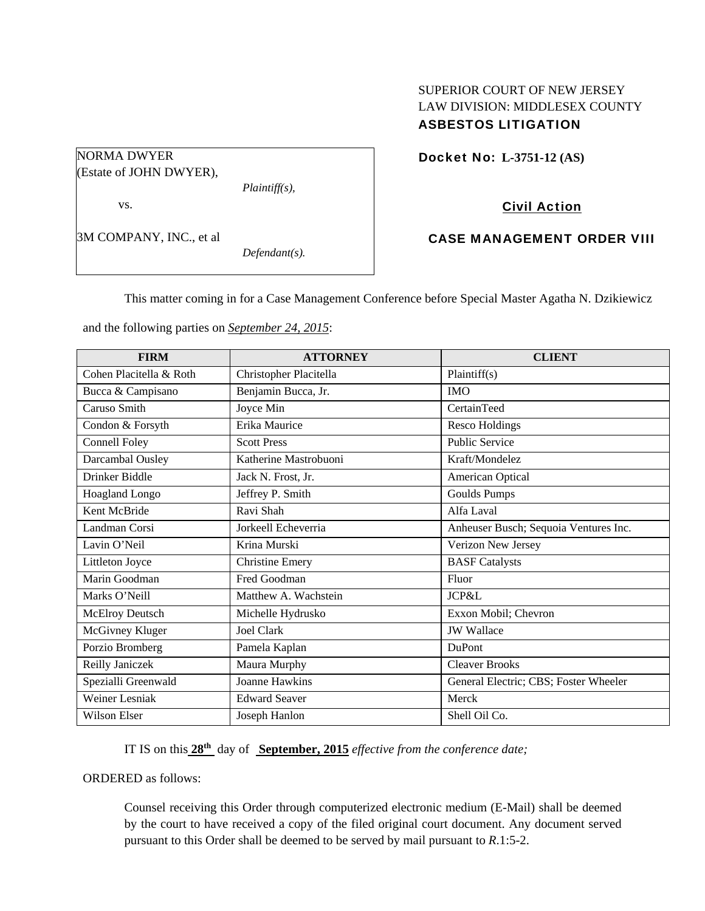## SUPERIOR COURT OF NEW JERSEY LAW DIVISION: MIDDLESEX COUNTY ASBESTOS LITIGATION

Docket No: **L-3751-12 (AS)** 

# Civil Action

## CASE MANAGEMENT ORDER VIII

This matter coming in for a Case Management Conference before Special Master Agatha N. Dzikiewicz

and the following parties on *September 24, 2015*:

| <b>FIRM</b>             | <b>ATTORNEY</b>        | <b>CLIENT</b>                         |
|-------------------------|------------------------|---------------------------------------|
| Cohen Placitella & Roth | Christopher Placitella | Plaintiff(s)                          |
| Bucca & Campisano       | Benjamin Bucca, Jr.    | <b>IMO</b>                            |
| Caruso Smith            | Joyce Min              | CertainTeed                           |
| Condon & Forsyth        | Erika Maurice          | <b>Resco Holdings</b>                 |
| <b>Connell Foley</b>    | <b>Scott Press</b>     | <b>Public Service</b>                 |
| Darcambal Ousley        | Katherine Mastrobuoni  | Kraft/Mondelez                        |
| Drinker Biddle          | Jack N. Frost, Jr.     | American Optical                      |
| Hoagland Longo          | Jeffrey P. Smith       | <b>Goulds Pumps</b>                   |
| Kent McBride            | Ravi Shah              | Alfa Laval                            |
| Landman Corsi           | Jorkeell Echeverria    | Anheuser Busch; Sequoia Ventures Inc. |
| Lavin O'Neil            | Krina Murski           | Verizon New Jersey                    |
| Littleton Joyce         | <b>Christine Emery</b> | <b>BASF</b> Catalysts                 |
| Marin Goodman           | Fred Goodman           | Fluor                                 |
| Marks O'Neill           | Matthew A. Wachstein   | JCP&L                                 |
| McElroy Deutsch         | Michelle Hydrusko      | Exxon Mobil; Chevron                  |
| McGivney Kluger         | <b>Joel Clark</b>      | <b>JW</b> Wallace                     |
| Porzio Bromberg         | Pamela Kaplan          | DuPont                                |
| Reilly Janiczek         | Maura Murphy           | <b>Cleaver Brooks</b>                 |
| Spezialli Greenwald     | <b>Joanne Hawkins</b>  | General Electric; CBS; Foster Wheeler |
| Weiner Lesniak          | <b>Edward Seaver</b>   | Merck                                 |
| Wilson Elser            | Joseph Hanlon          | Shell Oil Co.                         |

IT IS on this **28th** day of **September, 2015** *effective from the conference date;*

ORDERED as follows:

Counsel receiving this Order through computerized electronic medium (E-Mail) shall be deemed by the court to have received a copy of the filed original court document. Any document served pursuant to this Order shall be deemed to be served by mail pursuant to *R*.1:5-2.

NORMA DWYER (Estate of JOHN DWYER), *Plaintiff(s),* 

*Defendant(s).* 

vs.

3M COMPANY, INC., et al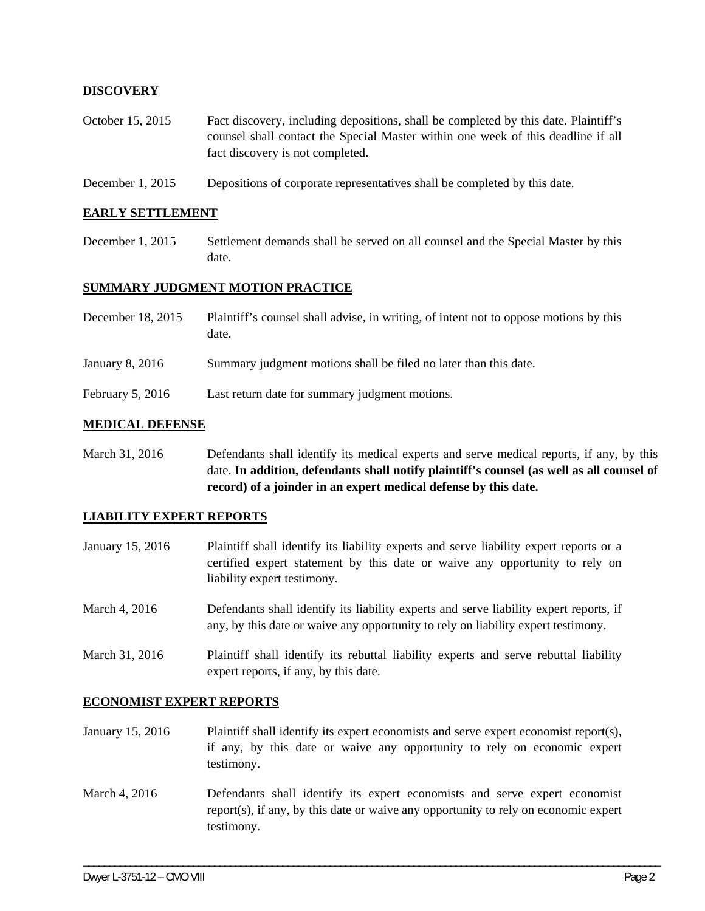### **DISCOVERY**

- October 15, 2015 Fact discovery, including depositions, shall be completed by this date. Plaintiff's counsel shall contact the Special Master within one week of this deadline if all fact discovery is not completed.
- December 1, 2015 Depositions of corporate representatives shall be completed by this date.

#### **EARLY SETTLEMENT**

December 1, 2015 Settlement demands shall be served on all counsel and the Special Master by this date.

#### **SUMMARY JUDGMENT MOTION PRACTICE**

| December 18, 2015  | Plaintiff's counsel shall advise, in writing, of intent not to oppose motions by this<br>date. |
|--------------------|------------------------------------------------------------------------------------------------|
| January 8, 2016    | Summary judgment motions shall be filed no later than this date.                               |
| February $5, 2016$ | Last return date for summary judgment motions.                                                 |

#### **MEDICAL DEFENSE**

March 31, 2016 Defendants shall identify its medical experts and serve medical reports, if any, by this date. **In addition, defendants shall notify plaintiff's counsel (as well as all counsel of record) of a joinder in an expert medical defense by this date.** 

#### **LIABILITY EXPERT REPORTS**

- January 15, 2016 Plaintiff shall identify its liability experts and serve liability expert reports or a certified expert statement by this date or waive any opportunity to rely on liability expert testimony.
- March 4, 2016 Defendants shall identify its liability experts and serve liability expert reports, if any, by this date or waive any opportunity to rely on liability expert testimony.
- March 31, 2016 Plaintiff shall identify its rebuttal liability experts and serve rebuttal liability expert reports, if any, by this date.

#### **ECONOMIST EXPERT REPORTS**

- January 15, 2016 Plaintiff shall identify its expert economists and serve expert economist report(s), if any, by this date or waive any opportunity to rely on economic expert testimony.
- March 4, 2016 Defendants shall identify its expert economists and serve expert economist report(s), if any, by this date or waive any opportunity to rely on economic expert testimony.

\_\_\_\_\_\_\_\_\_\_\_\_\_\_\_\_\_\_\_\_\_\_\_\_\_\_\_\_\_\_\_\_\_\_\_\_\_\_\_\_\_\_\_\_\_\_\_\_\_\_\_\_\_\_\_\_\_\_\_\_\_\_\_\_\_\_\_\_\_\_\_\_\_\_\_\_\_\_\_\_\_\_\_\_\_\_\_\_\_\_\_\_\_\_\_\_\_\_\_\_\_\_\_\_\_\_\_\_\_\_